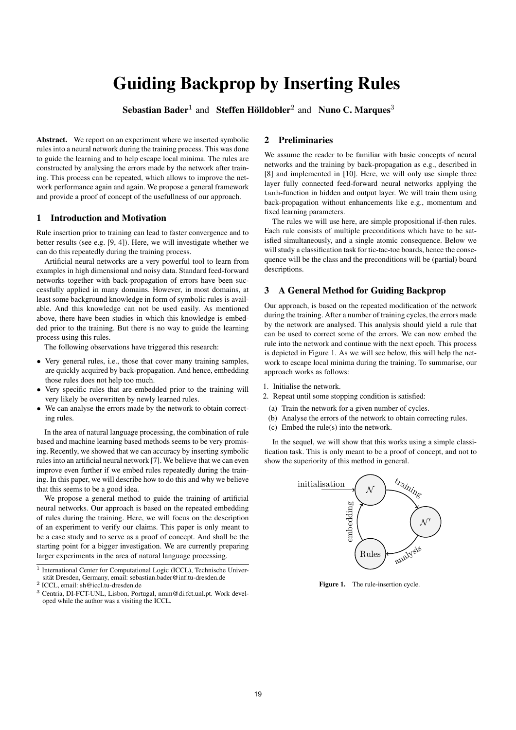# Guiding Backprop by Inserting Rules

Sebastian Bader<sup>1</sup> and Steffen Hölldobler<sup>2</sup> and Nuno C. Marques<sup>3</sup>

Abstract. We report on an experiment where we inserted symbolic rules into a neural network during the training process. This was done to guide the learning and to help escape local minima. The rules are constructed by analysing the errors made by the network after training. This process can be repeated, which allows to improve the network performance again and again. We propose a general framework and provide a proof of concept of the usefullness of our approach.

#### 1 Introduction and Motivation

Rule insertion prior to training can lead to faster convergence and to better results (see e.g. [9, 4]). Here, we will investigate whether we can do this repeatedly during the training process.

Artificial neural networks are a very powerful tool to learn from examples in high dimensional and noisy data. Standard feed-forward networks together with back-propagation of errors have been successfully applied in many domains. However, in most domains, at least some background knowledge in form of symbolic rules is available. And this knowledge can not be used easily. As mentioned above, there have been studies in which this knowledge is embedded prior to the training. But there is no way to guide the learning process using this rules.

The following observations have triggered this research:

- Very general rules, i.e., those that cover many training samples, are quickly acquired by back-propagation. And hence, embedding those rules does not help too much.
- Very specific rules that are embedded prior to the training will very likely be overwritten by newly learned rules.
- We can analyse the errors made by the network to obtain correcting rules.

In the area of natural language processing, the combination of rule based and machine learning based methods seems to be very promising. Recently, we showed that we can accuracy by inserting symbolic rules into an artificial neural network [7]. We believe that we can even improve even further if we embed rules repeatedly during the training. In this paper, we will describe how to do this and why we believe that this seems to be a good idea.

We propose a general method to guide the training of artificial neural networks. Our approach is based on the repeated embedding of rules during the training. Here, we will focus on the description of an experiment to verify our claims. This paper is only meant to be a case study and to serve as a proof of concept. And shall be the starting point for a bigger investigation. We are currently preparing larger experiments in the area of natural language processing.

2 ICCL, email: sh@iccl.tu-dresden.de

# 2 Preliminaries

We assume the reader to be familiar with basic concepts of neural networks and the training by back-propagation as e.g., described in [8] and implemented in [10]. Here, we will only use simple three layer fully connected feed-forward neural networks applying the tanh-function in hidden and output layer. We will train them using back-propagation without enhancements like e.g., momentum and fixed learning parameters.

The rules we will use here, are simple propositional if-then rules. Each rule consists of multiple preconditions which have to be satisfied simultaneously, and a single atomic consequence. Below we will study a classification task for tic-tac-toe boards, hence the consequence will be the class and the preconditions will be (partial) board descriptions.

# 3 A General Method for Guiding Backprop

Our approach, is based on the repeated modification of the network during the training. After a number of training cycles, the errors made by the network are analysed. This analysis should yield a rule that can be used to correct some of the errors. We can now embed the rule into the network and continue with the next epoch. This process is depicted in Figure 1. As we will see below, this will help the network to escape local minima during the training. To summarise, our approach works as follows:

- 1. Initialise the network.
- 2. Repeat until some stopping condition is satisfied:
- (a) Train the network for a given number of cycles.
- (b) Analyse the errors of the network to obtain correcting rules.
- (c) Embed the rule(s) into the network.

In the sequel, we will show that this works using a simple classification task. This is only meant to be a proof of concept, and not to show the superiority of this method in general.



Figure 1. The rule-insertion cycle.

<sup>&</sup>lt;sup>1</sup> International Center for Computational Logic (ICCL), Technische Universität Dresden, Germany, email: sebastian.bader@inf.tu-dresden.de

<sup>3</sup> Centria, DI-FCT-UNL, Lisbon, Portugal, nmm@di.fct.unl.pt. Work developed while the author was a visiting the ICCL.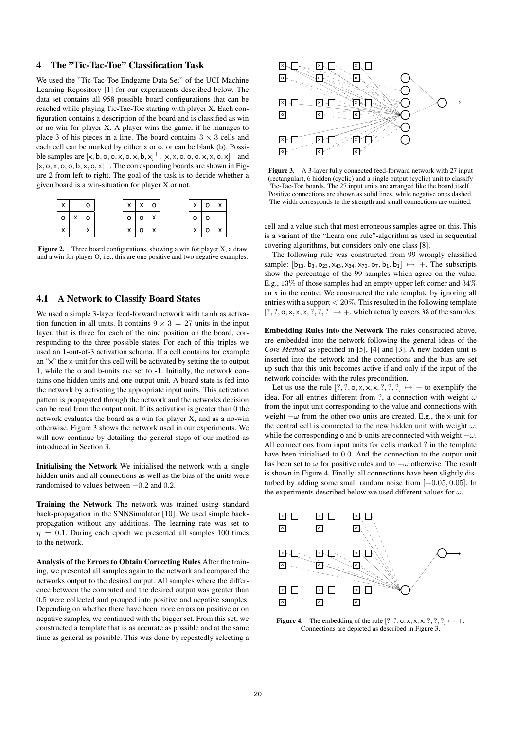# 4 The "Tic-Tac-Toe" Classification Task

We used the "Tic-Tac-Toe Endgame Data Set" of the UCI Machine Learning Repository [1] for our experiments described below. The data set contains all 958 possible board configurations that can be reached while playing Tic-Tac-Toe starting with player X. Each configuration contains a description of the board and is classified as win or no-win for player X. A player wins the game, if he manages to place 3 of his pieces in a line. The board contains  $3 \times 3$  cells and each cell can be marked by either x or o, or can be blank (b). Possible samples are  $[x, b, o, o, x, o, x, b, x]^+$ ,  $[x, x, o, o, o, x, x, o, x]^$  and  $[x, o, x, o, o, b, x, o, x]$ <sup>-</sup>. The corresponding boards are shown in Figure 2 from left to right. The goal of the task is to decide whether a given board is a win-situation for player X or not.



Figure 2. Three board configurations, showing a win for player X, a draw and a win for player O, i.e., this are one positive and two negative examples.

#### 4.1 A Network to Classify Board States

We used a simple 3-layer feed-forward network with tanh as activation function in all units. It contains  $9 \times 3 = 27$  units in the input layer, that is three for each of the nine position on the board, corresponding to the three possible states. For each of this triples we used an 1-out-of-3 activation schema. If a cell contains for example an "x" the x-unit for this cell will be activated by setting the to output 1, while the o and b-units are set to -1. Initially, the network contains one hidden units and one output unit. A board state is fed into the network by activating the appropriate input units. This activation pattern is propagated through the network and the networks decision can be read from the output unit. If its activation is greater than 0 the network evaluates the board as a win for player X, and as a no-win otherwise. Figure 3 shows the network used in our experiments. We will now continue by detailing the general steps of our method as introduced in Section 3.

Initialising the Network We initialised the network with a single hidden units and all connections as well as the bias of the units were randomised to values between  $-0.2$  and  $0.2$ .

Training the Network The network was trained using standard back-propagation in the SNNSimulator [10]. We used simple backpropagation without any additions. The learning rate was set to  $\eta = 0.1$ . During each epoch we presented all samples 100 times to the network.

Analysis of the Errors to Obtain Correcting Rules After the training, we presented all samples again to the network and compared the networks output to the desired output. All samples where the difference between the computed and the desired output was greater than 0.5 were collected and grouped into positive and negative samples. Depending on whether there have been more errors on positive or on negative samples, we continued with the bigger set. From this set, we constructed a template that is as accurate as possible and at the same time as general as possible. This was done by repeatedly selecting a



Figure 3. A 3-layer fully connected feed-forward network with 27 input (rectangular), 6 hidden (cyclic) and a single output (cyclic) unit to classify Tic-Tac-Toe boards. The 27 input units are arranged like the board itself. Positive connections are shown as solid lines, while negative ones dashed. The width corresponds to the strength and small connections are omitted.

cell and a value such that most erroneous samples agree on this. This is a variant of the "Learn one rule"-algorithm as used in sequential covering algorithms, but considers only one class [8].

The following rule was constructed from 99 wrongly classified sample:  $[b_{13}, b_{3}, o_{23}, x_{43}, x_{34}, x_{70}, o_{7}, b_{1}, b_{1}] \mapsto +$ . The subscripts show the percentage of the 99 samples which agree on the value. E.g., 13% of those samples had an empty upper left corner and 34% an x in the centre. We constructed the rule template by ignoring all entries with a support  $< 20\%$ . This resulted in the following template  $[?,?, \mathsf{o}, \mathsf{x}, \mathsf{x}, \mathsf{x}, ?, ?] \mapsto +$ , which actually covers 38 of the samples.

Embedding Rules into the Network The rules constructed above, are embedded into the network following the general ideas of the *Core Method* as specified in [5], [4] and [3]. A new hidden unit is inserted into the network and the connections and the bias are set up such that this unit becomes active if and only if the input of the network coincides with the rules precondition.

Let us use the rule  $[?,?,\mathsf{o},\mathsf{x},\mathsf{x},\mathsf{x},?,?,?] \mapsto +$  to exemplify the idea. For all entries different from ?, a connection with weight  $\omega$ from the input unit corresponding to the value and connections with weight  $-\omega$  from the other two units are created. E.g., the x-unit for the central cell is connected to the new hidden unit with weight  $\omega$ , while the corresponding o and b-units are connected with weight  $-\omega$ . All connections from input units for cells marked ? in the template have been initialised to 0.0. And the connection to the output unit has been set to  $\omega$  for positive rules and to  $-\omega$  otherwise. The result is shown in Figure 4. Finally, all connections have been slightly disturbed by adding some small random noise from  $[-0.05, 0.05]$ . In the experiments described below we used different values for  $\omega$ .



**Figure 4.** The embedding of the rule  $[?,?,\mathsf{o},\mathsf{x},\mathsf{x},\mathsf{x},?,?,?] \mapsto +$ . Connections are depicted as described in Figure 3.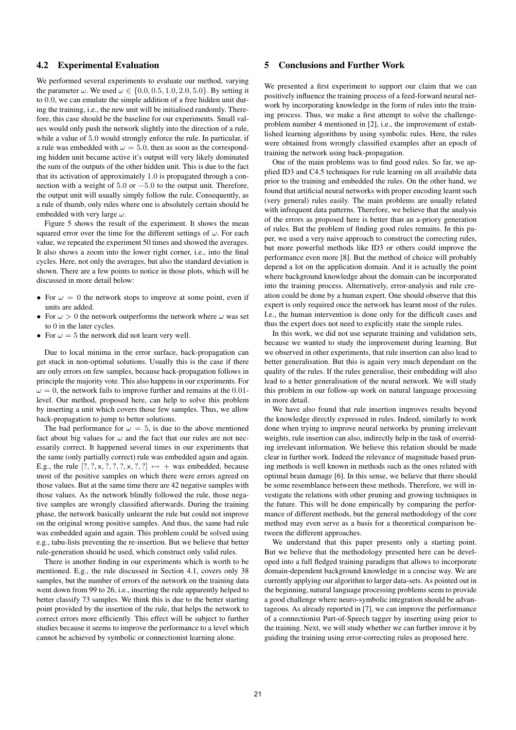### 4.2 Experimental Evaluation

We performed several experiments to evaluate our method, varying the parameter  $\omega$ . We used  $\omega \in \{0.0, 0.5, 1.0, 2.0, 5.0\}$ . By setting it to 0.0, we can emulate the simple addition of a free hidden unit during the training, i.e., the new unit will be initialised randomly. Therefore, this case should be the baseline for our experiments. Small values would only push the network slightly into the direction of a rule, while a value of 5.0 would strongly enforce the rule. In particular, if a rule was embedded with  $\omega = 5.0$ , then as soon as the corresponding hidden unit became active it's output will very likely dominated the sum of the outputs of the other hidden unit. This is due to the fact that its activation of approximately 1.0 is propagated through a connection with a weight of 5.0 or −5.0 to the output unit. Therefore, the output unit will usually simply follow the rule. Consequently, as a rule of thumb, only rules where one is absolutely certain should be embedded with very large  $\omega$ .

Figure 5 shows the result of the experiment. It shows the mean squared error over the time for the different settings of  $\omega$ . For each value, we repeated the experiment 50 times and showed the averages. It also shows a zoom into the lower right corner, i.e., into the final cycles. Here, not only the averages, but also the standard deviation is shown. There are a few points to notice in those plots, which will be discussed in more detail below:

- For  $\omega = 0$  the network stops to improve at some point, even if units are added.
- For  $\omega > 0$  the network outperforms the network where  $\omega$  was set to 0 in the later cycles.
- For  $\omega = 5$  the network did not learn very well.

Due to local minima in the error surface, back-propagation can get stuck in non-optimal solutions. Usually this is the case if there are only errors on few samples, because back-propagation follows in principle the majority vote. This also happens in our experiments. For  $\omega = 0$ , the network fails to improve further and remains at the 0.01level. Our method, proposed here, can help to solve this problem by inserting a unit which covers those few samples. Thus, we allow back-propagation to jump to better solutions.

The bad performance for  $\omega = 5$ , is due to the above mentioned fact about big values for  $\omega$  and the fact that our rules are not necessarily correct. It happened several times in our experiments that the same (only partially correct) rule was embedded again and again. E.g., the rule  $[?,?,x,?,?,?,x,?,?]] \mapsto +$  was embedded, because most of the positive samples on which there were errors agreed on those values. But at the same time there are 42 negative samples with those values. As the network blindly followed the rule, those negative samples are wrongly classified afterwards. During the training phase, the network basically unlearnt the rule but could not improve on the original wrong positive samples. And thus, the same bad rule was embedded again and again. This problem could be solved using e.g., tabu-lists preventing the re-insertion. But we believe that better rule-generation should be used, which construct only valid rules.

There is another finding in our experiments which is worth to be mentioned. E.g., the rule discussed in Section 4.1, covers only 38 samples, but the number of errors of the network on the training data went down from 99 to 26, i.e., inserting the rule apparently helped to better classify 73 samples. We think this is due to the better starting point provided by the insertion of the rule, that helps the network to correct errors more efficiently. This effect will be subject to further studies because it seems to improve the performance to a level which cannot be achieved by symbolic or connectionist learning alone.

#### 5 Conclusions and Further Work

We presented a first experiment to support our claim that we can positively influence the training process of a feed-forward neural network by incorporating knowledge in the form of rules into the training process. Thus, we make a first attempt to solve the challengeproblem number 4 mentioned in [2], i.e., the improvement of established learning algorithms by using symbolic rules. Here, the rules were obtained from wrongly classified examples after an epoch of training the network using back-propagation.

One of the main problems was to find good rules. So far, we applied ID3 and C4.5 techniques for rule learning on all available data prior to the training and embedded the rules. On the other hand, we found that artificial neural networks with proper encoding learnt such (very general) rules easily. The main problems are usually related with infrequent data patterns. Therefore, we believe that the analysis of the errors as proposed here is better than an a-priory generation of rules. But the problem of finding good rules remains. In this paper, we used a very naive approach to construct the correcting rules, but more powerful methods like ID3 or others could improve the performance even more [8]. But the method of choice will probably depend a lot on the application domain. And it is actually the point where background knowledge about the domain can be incorporated into the training process. Alternatively, error-analysis and rule creation could be done by a human expert. One should observe that this expert is only required once the network has learnt most of the rules. I.e., the human intervention is done only for the difficult cases and thus the expert does not need to explicitly state the simple rules.

In this work, we did not use separate training and validation sets, because we wanted to study the improvement during learning. But we observed in other experiments, that rule insertion can also lead to better generalisation. But this is again very much dependant on the quality of the rules. If the rules generalise, their embedding will also lead to a better generalisation of the neural network. We will study this problem in our follow-up work on natural language processing in more detail.

We have also found that rule insertion improves results beyond the knowledge directly expressed in rules. Indeed, similarly to work done when trying to improve neural networks by pruning irrelevant weights, rule insertion can also, indirectly help in the task of overriding irrelevant information. We believe this relation should be made clear in further work. Indeed the relevance of magnitude based pruning methods is well known in methods such as the ones related with optimal brain damage [6]. In this sense, we believe that there should be some resemblance between these methods. Therefore, we will investigate the relations with other pruning and growing techniques in the future. This will be done empirically by comparing the performance of different methods, but the general methodology of the core method may even serve as a basis for a theoretical comparison between the different approaches.

We understand that this paper presents only a starting point. But we believe that the methodology presented here can be developed into a full fledged training paradigm that allows to incorporate domain-dependent background knowledge in a concise way. We are currently applying our algorithm to larger data-sets. As pointed out in the beginning, natural language processing problems seem to provide a good challenge where neuro-symbolic integration should be advantageous. As already reported in [7], we can improve the performance of a connectionist Part-of-Speech tagger by inserting using prior to the training. Next, we will study whether we can further imrove it by guiding the training using error-correcting rules as proposed here.